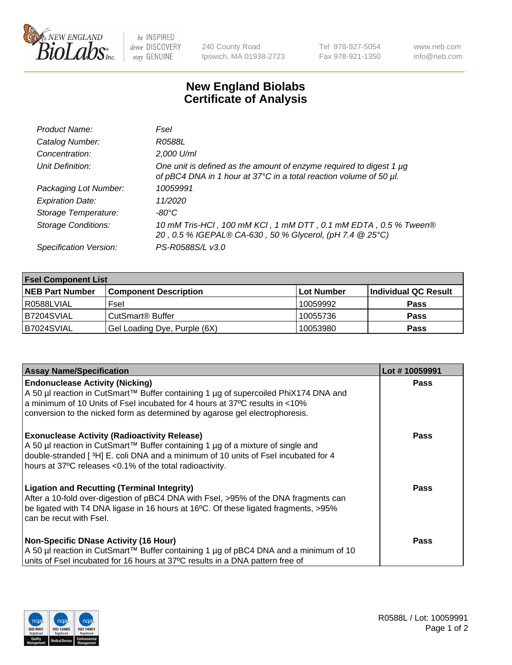

 $be$  INSPIRED drive DISCOVERY stay GENUINE

240 County Road Ipswich, MA 01938-2723 Tel 978-927-5054 Fax 978-921-1350 www.neb.com info@neb.com

## **New England Biolabs Certificate of Analysis**

| Product Name:              | Fsel                                                                                                                                      |
|----------------------------|-------------------------------------------------------------------------------------------------------------------------------------------|
| Catalog Number:            | R0588L                                                                                                                                    |
| Concentration:             | 2,000 U/ml                                                                                                                                |
| Unit Definition:           | One unit is defined as the amount of enzyme required to digest 1 µg<br>of pBC4 DNA in 1 hour at 37°C in a total reaction volume of 50 µl. |
| Packaging Lot Number:      | 10059991                                                                                                                                  |
| <b>Expiration Date:</b>    | 11/2020                                                                                                                                   |
| Storage Temperature:       | $-80^{\circ}$ C                                                                                                                           |
| <b>Storage Conditions:</b> | 10 mM Tris-HCl, 100 mM KCl, 1 mM DTT, 0.1 mM EDTA, 0.5 % Tween®<br>20, 0.5 % IGEPAL® CA-630, 50 % Glycerol, (pH 7.4 @ 25°C)               |
| Specification Version:     | PS-R0588S/L v3.0                                                                                                                          |

| <b>Fsel Component List</b> |                              |             |                      |  |  |
|----------------------------|------------------------------|-------------|----------------------|--|--|
| <b>NEB Part Number</b>     | <b>Component Description</b> | ∣Lot Number | Individual QC Result |  |  |
| R0588LVIAL                 | Fsel                         | 10059992    | <b>Pass</b>          |  |  |
| IB7204SVIAL                | CutSmart® Buffer             | 10055736    | <b>Pass</b>          |  |  |
| B7024SVIAL                 | Gel Loading Dye, Purple (6X) | 10053980    | <b>Pass</b>          |  |  |

| <b>Assay Name/Specification</b>                                                                                                                                                                                                                                                            | Lot #10059991 |
|--------------------------------------------------------------------------------------------------------------------------------------------------------------------------------------------------------------------------------------------------------------------------------------------|---------------|
| <b>Endonuclease Activity (Nicking)</b><br>  A 50 µl reaction in CutSmart™ Buffer containing 1 µg of supercoiled PhiX174 DNA and                                                                                                                                                            | <b>Pass</b>   |
| a minimum of 10 Units of Fsel incubated for 4 hours at 37°C results in <10%<br>conversion to the nicked form as determined by agarose gel electrophoresis.                                                                                                                                 |               |
| <b>Exonuclease Activity (Radioactivity Release)</b><br>  A 50 µl reaction in CutSmart™ Buffer containing 1 µg of a mixture of single and<br>double-stranded [3H] E. coli DNA and a minimum of 10 units of Fsel incubated for 4<br>hours at 37°C releases <0.1% of the total radioactivity. | Pass          |
| <b>Ligation and Recutting (Terminal Integrity)</b><br>After a 10-fold over-digestion of pBC4 DNA with Fsel, >95% of the DNA fragments can<br>be ligated with T4 DNA ligase in 16 hours at 16°C. Of these ligated fragments, >95%<br>can be recut with Fsel.                                | Pass          |
| <b>Non-Specific DNase Activity (16 Hour)</b><br>A 50 µl reaction in CutSmart™ Buffer containing 1 µg of pBC4 DNA and a minimum of 10<br>units of Fsel incubated for 16 hours at 37°C results in a DNA pattern free of                                                                      | <b>Pass</b>   |